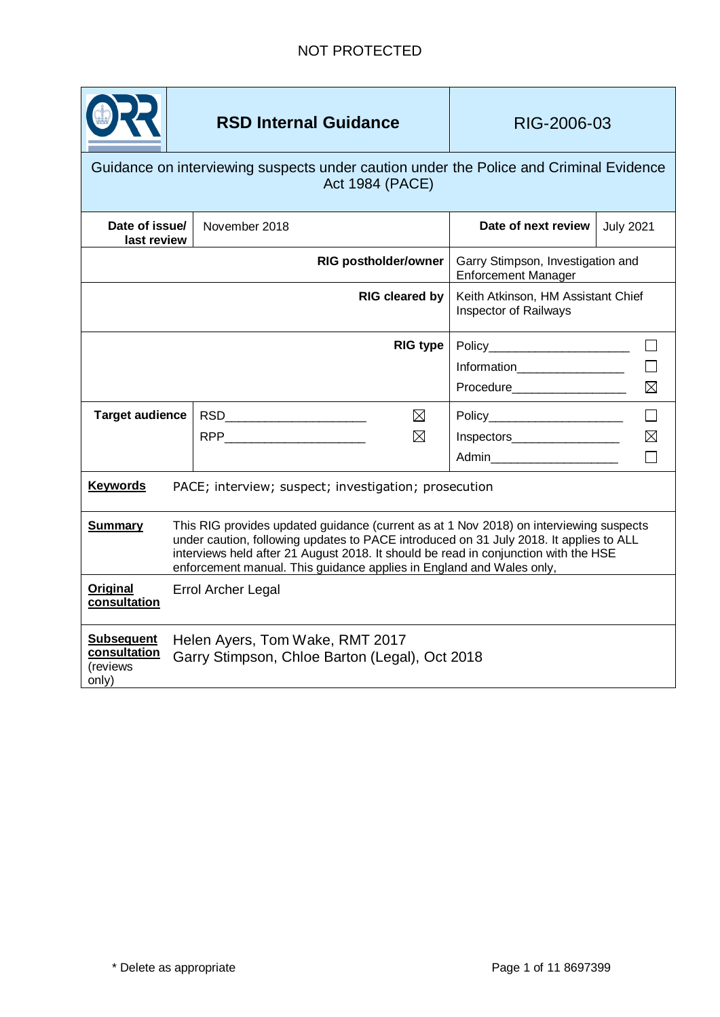

# **RSD Internal Guidance RIG-2006-03**

# Guidance on interviewing suspects under caution under the Police and Criminal Evidence Act 1984 (PACE)

| Date of issue/<br>last review                          |                                                                                                                                                                                                                                                                                                                                                 | November 2018   | Date of next review                                             | <b>July 2021</b> |
|--------------------------------------------------------|-------------------------------------------------------------------------------------------------------------------------------------------------------------------------------------------------------------------------------------------------------------------------------------------------------------------------------------------------|-----------------|-----------------------------------------------------------------|------------------|
| <b>RIG postholder/owner</b>                            |                                                                                                                                                                                                                                                                                                                                                 |                 | Garry Stimpson, Investigation and<br><b>Enforcement Manager</b> |                  |
| <b>RIG cleared by</b>                                  |                                                                                                                                                                                                                                                                                                                                                 |                 | Keith Atkinson, HM Assistant Chief<br>Inspector of Railways     |                  |
|                                                        |                                                                                                                                                                                                                                                                                                                                                 | <b>RIG type</b> |                                                                 |                  |
|                                                        |                                                                                                                                                                                                                                                                                                                                                 |                 | Information___________________                                  |                  |
|                                                        |                                                                                                                                                                                                                                                                                                                                                 |                 | Procedure____________________                                   | $\boxtimes$      |
| <b>Target audience</b>                                 |                                                                                                                                                                                                                                                                                                                                                 | $\boxtimes$     | Policy_______________________                                   | $\Box$           |
|                                                        |                                                                                                                                                                                                                                                                                                                                                 | $\boxtimes$     | Inspectors____________________                                  | $\boxtimes$      |
|                                                        |                                                                                                                                                                                                                                                                                                                                                 |                 | Admin_________________________                                  |                  |
| <b>Keywords</b>                                        | PACE; interview; suspect; investigation; prosecution                                                                                                                                                                                                                                                                                            |                 |                                                                 |                  |
| <b>Summary</b>                                         | This RIG provides updated guidance (current as at 1 Nov 2018) on interviewing suspects<br>under caution, following updates to PACE introduced on 31 July 2018. It applies to ALL<br>interviews held after 21 August 2018. It should be read in conjunction with the HSE<br>enforcement manual. This guidance applies in England and Wales only, |                 |                                                                 |                  |
| <b>Original</b><br>consultation                        | Errol Archer Legal                                                                                                                                                                                                                                                                                                                              |                 |                                                                 |                  |
| <b>Subsequent</b><br>consultation<br>(reviews<br>only) | Helen Ayers, Tom Wake, RMT 2017<br>Garry Stimpson, Chloe Barton (Legal), Oct 2018                                                                                                                                                                                                                                                               |                 |                                                                 |                  |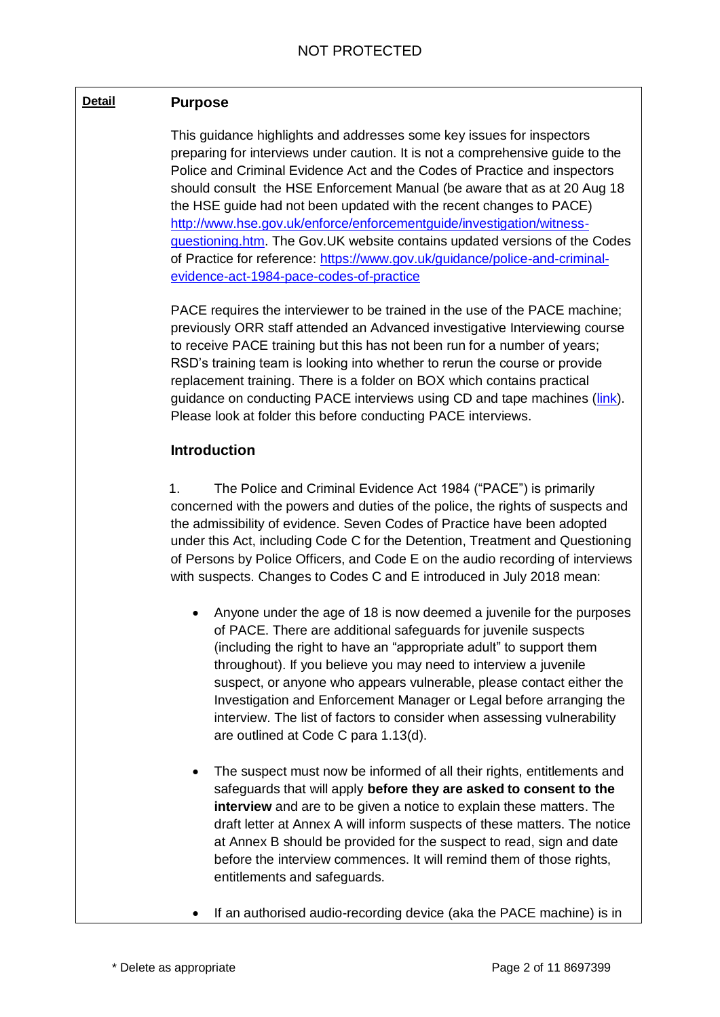### **Detail Purpose**

This guidance highlights and addresses some key issues for inspectors preparing for interviews under caution. It is not a comprehensive guide to the Police and Criminal Evidence Act and the Codes of Practice and inspectors should consult the HSE Enforcement Manual (be aware that as at 20 Aug 18 the HSE guide had not been updated with the recent changes to PACE) [http://www.hse.gov.uk/enforce/enforcementguide/investigation/witness](http://www.hse.gov.uk/enforce/enforcementguide/investigation/witness-questioning.htm)[questioning.htm.](http://www.hse.gov.uk/enforce/enforcementguide/investigation/witness-questioning.htm) The Gov.UK website contains updated versions of the Codes of Practice for reference: [https://www.gov.uk/guidance/police-and-criminal](https://www.gov.uk/guidance/police-and-criminal-evidence-act-1984-pace-codes-of-practice)[evidence-act-1984-pace-codes-of-practice](https://www.gov.uk/guidance/police-and-criminal-evidence-act-1984-pace-codes-of-practice)

PACE requires the interviewer to be trained in the use of the PACE machine; previously ORR staff attended an Advanced investigative Interviewing course to receive PACE training but this has not been run for a number of years; RSD's training team is looking into whether to rerun the course or provide replacement training. There is a folder on BOX which contains practical guidance on conducting PACE interviews using CD and tape machines [\(link\)](https://orr.box.com/s/s2wy0ghcvk436w30f97c3yemgln9p1qr). Please look at folder this before conducting PACE interviews.

### **Introduction**

1. The Police and Criminal Evidence Act 1984 ("PACE") is primarily concerned with the powers and duties of the police, the rights of suspects and the admissibility of evidence. Seven Codes of Practice have been adopted under this Act, including Code C for the Detention, Treatment and Questioning of Persons by Police Officers, and Code E on the audio recording of interviews with suspects. Changes to Codes C and E introduced in July 2018 mean:

- Anyone under the age of 18 is now deemed a juvenile for the purposes of PACE. There are additional safeguards for juvenile suspects (including the right to have an "appropriate adult" to support them throughout). If you believe you may need to interview a juvenile suspect, or anyone who appears vulnerable, please contact either the Investigation and Enforcement Manager or Legal before arranging the interview. The list of factors to consider when assessing vulnerability are outlined at Code C para 1.13(d).
- The suspect must now be informed of all their rights, entitlements and safeguards that will apply **before they are asked to consent to the interview** and are to be given a notice to explain these matters. The draft letter at Annex A will inform suspects of these matters. The notice at Annex B should be provided for the suspect to read, sign and date before the interview commences. It will remind them of those rights, entitlements and safeguards.
- If an authorised audio-recording device (aka the PACE machine) is in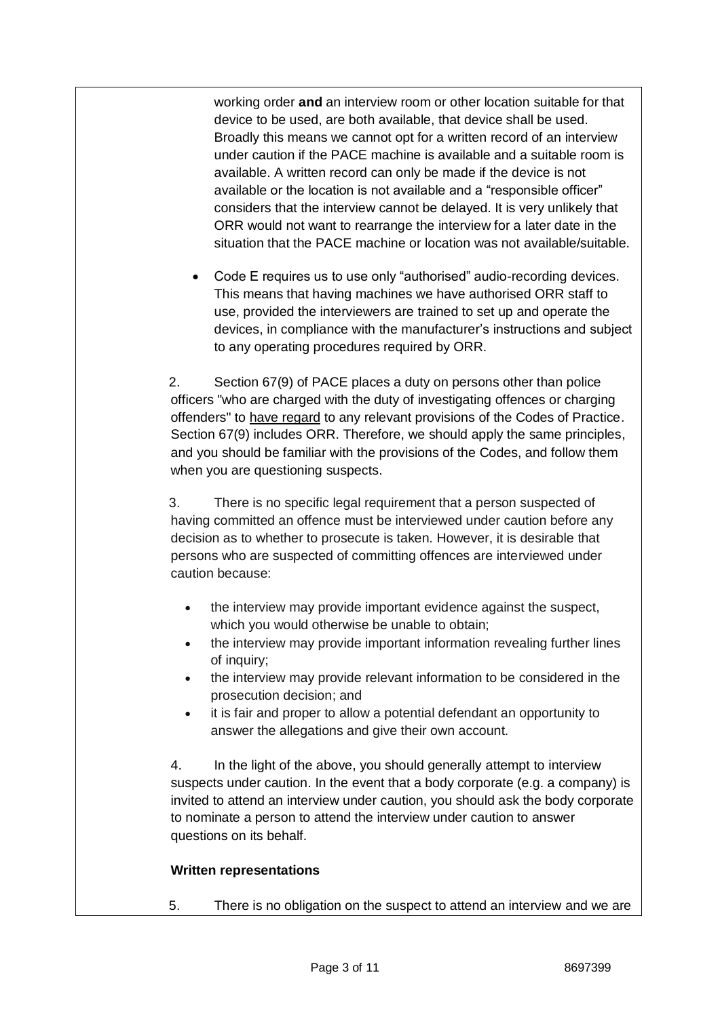working order **and** an interview room or other location suitable for that device to be used, are both available, that device shall be used. Broadly this means we cannot opt for a written record of an interview under caution if the PACE machine is available and a suitable room is available. A written record can only be made if the device is not available or the location is not available and a "responsible officer" considers that the interview cannot be delayed. It is very unlikely that ORR would not want to rearrange the interview for a later date in the situation that the PACE machine or location was not available/suitable.

 Code E requires us to use only "authorised" audio-recording devices. This means that having machines we have authorised ORR staff to use, provided the interviewers are trained to set up and operate the devices, in compliance with the manufacturer's instructions and subject to any operating procedures required by ORR.

2. Section 67(9) of PACE places a duty on persons other than police officers "who are charged with the duty of investigating offences or charging offenders" to have regard to any relevant provisions of the Codes of Practice. Section 67(9) includes ORR. Therefore, we should apply the same principles, and you should be familiar with the provisions of the Codes, and follow them when you are questioning suspects.

3. There is no specific legal requirement that a person suspected of having committed an offence must be interviewed under caution before any decision as to whether to prosecute is taken. However, it is desirable that persons who are suspected of committing offences are interviewed under caution because:

- the interview may provide important evidence against the suspect, which you would otherwise be unable to obtain;
- the interview may provide important information revealing further lines of inquiry;
- the interview may provide relevant information to be considered in the prosecution decision; and
- it is fair and proper to allow a potential defendant an opportunity to answer the allegations and give their own account.

4. In the light of the above, you should generally attempt to interview suspects under caution. In the event that a body corporate (e.g. a company) is invited to attend an interview under caution, you should ask the body corporate to nominate a person to attend the interview under caution to answer questions on its behalf.

#### **Written representations**

5. There is no obligation on the suspect to attend an interview and we are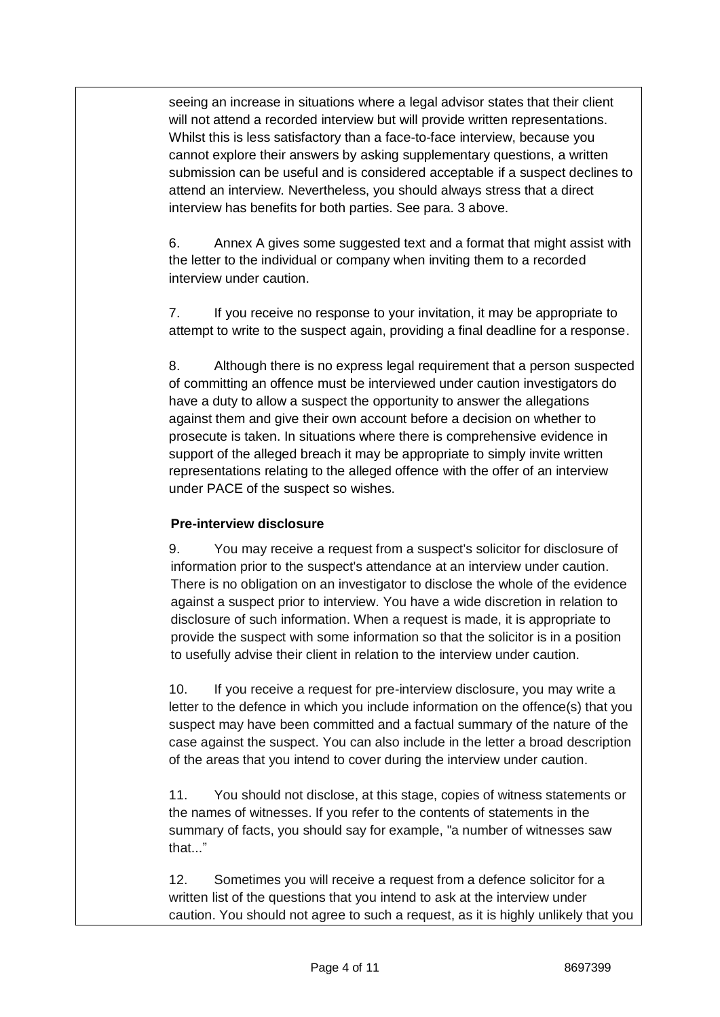seeing an increase in situations where a legal advisor states that their client will not attend a recorded interview but will provide written representations. Whilst this is less satisfactory than a face-to-face interview, because you cannot explore their answers by asking supplementary questions, a written submission can be useful and is considered acceptable if a suspect declines to attend an interview. Nevertheless, you should always stress that a direct interview has benefits for both parties. See para. 3 above.

6. Annex A gives some suggested text and a format that might assist with the letter to the individual or company when inviting them to a recorded interview under caution.

7. If you receive no response to your invitation, it may be appropriate to attempt to write to the suspect again, providing a final deadline for a response.

8. Although there is no express legal requirement that a person suspected of committing an offence must be interviewed under caution investigators do have a duty to allow a suspect the opportunity to answer the allegations against them and give their own account before a decision on whether to prosecute is taken. In situations where there is comprehensive evidence in support of the alleged breach it may be appropriate to simply invite written representations relating to the alleged offence with the offer of an interview under PACE of the suspect so wishes.

# **Pre-interview disclosure**

9. You may receive a request from a suspect's solicitor for disclosure of information prior to the suspect's attendance at an interview under caution. There is no obligation on an investigator to disclose the whole of the evidence against a suspect prior to interview. You have a wide discretion in relation to disclosure of such information. When a request is made, it is appropriate to provide the suspect with some information so that the solicitor is in a position to usefully advise their client in relation to the interview under caution.

10. If you receive a request for pre-interview disclosure, you may write a letter to the defence in which you include information on the offence(s) that you suspect may have been committed and a factual summary of the nature of the case against the suspect. You can also include in the letter a broad description of the areas that you intend to cover during the interview under caution.

11. You should not disclose, at this stage, copies of witness statements or the names of witnesses. If you refer to the contents of statements in the summary of facts, you should say for example, "a number of witnesses saw that..."

12. Sometimes you will receive a request from a defence solicitor for a written list of the questions that you intend to ask at the interview under caution. You should not agree to such a request, as it is highly unlikely that you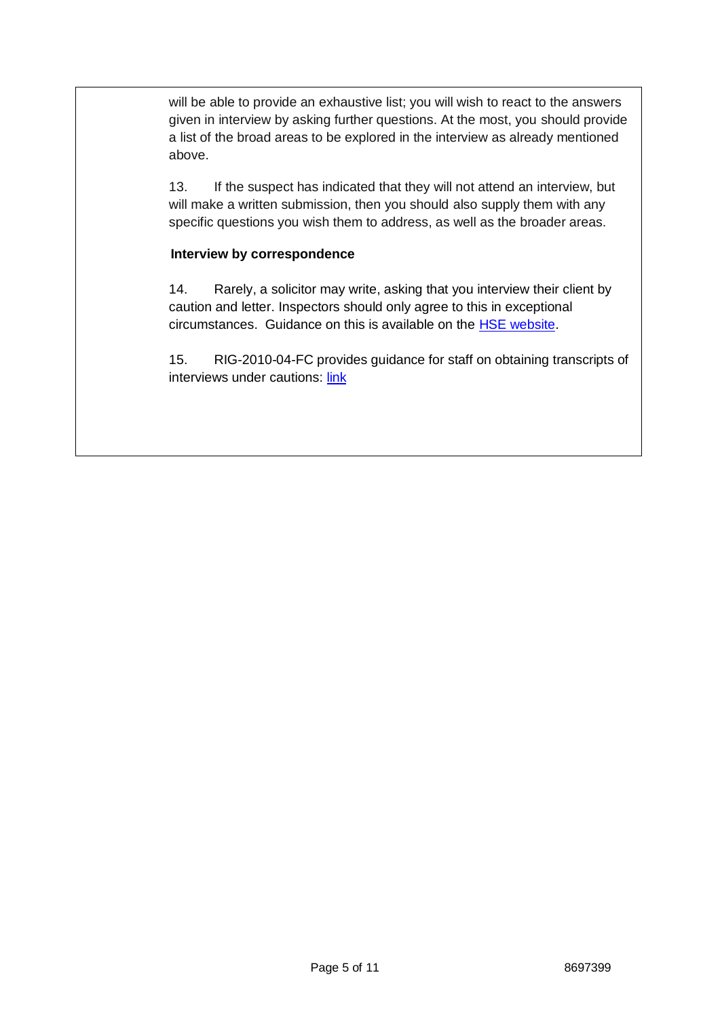will be able to provide an exhaustive list; you will wish to react to the answers given in interview by asking further questions. At the most, you should provide a list of the broad areas to be explored in the interview as already mentioned above.

13. If the suspect has indicated that they will not attend an interview, but will make a written submission, then you should also supply them with any specific questions you wish them to address, as well as the broader areas.

### **Interview by correspondence**

14. Rarely, a solicitor may write, asking that you interview their client by caution and letter. Inspectors should only agree to this in exceptional circumstances. Guidance on this is available on the [HSE website.](http://www.hse.gov.uk/enforce/enforcementguide/investigation/witness-questioning.htm#P159_25387)

15. RIG-2010-04-FC provides guidance for staff on obtaining transcripts of interviews under cautions[: link](https://orr.app.box.com/file/93534783141)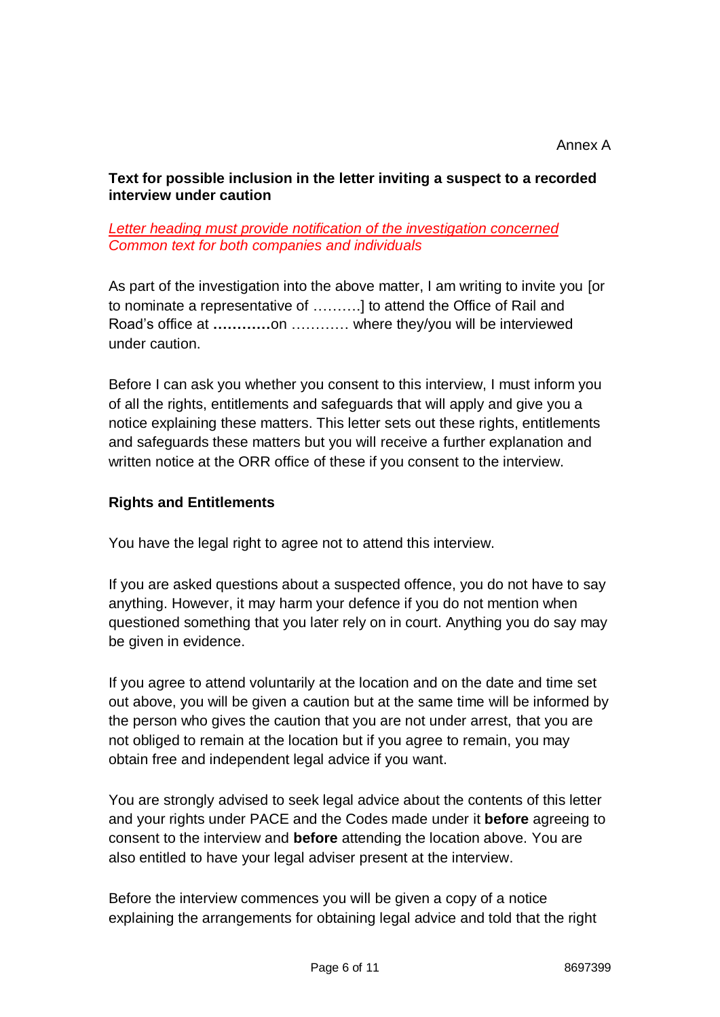# **Text for possible inclusion in the letter inviting a suspect to a recorded interview under caution**

## *Letter heading must provide notification of the investigation concerned Common text for both companies and individuals*

As part of the investigation into the above matter, I am writing to invite you [or to nominate a representative of ……….] to attend the Office of Rail and Road's office at **…………**on ………… where they/you will be interviewed under caution.

Before I can ask you whether you consent to this interview, I must inform you of all the rights, entitlements and safeguards that will apply and give you a notice explaining these matters. This letter sets out these rights, entitlements and safeguards these matters but you will receive a further explanation and written notice at the ORR office of these if you consent to the interview.

# **Rights and Entitlements**

You have the legal right to agree not to attend this interview.

If you are asked questions about a suspected offence, you do not have to say anything. However, it may harm your defence if you do not mention when questioned something that you later rely on in court. Anything you do say may be given in evidence.

If you agree to attend voluntarily at the location and on the date and time set out above, you will be given a caution but at the same time will be informed by the person who gives the caution that you are not under arrest, that you are not obliged to remain at the location but if you agree to remain, you may obtain free and independent legal advice if you want.

You are strongly advised to seek legal advice about the contents of this letter and your rights under PACE and the Codes made under it **before** agreeing to consent to the interview and **before** attending the location above. You are also entitled to have your legal adviser present at the interview.

Before the interview commences you will be given a copy of a notice explaining the arrangements for obtaining legal advice and told that the right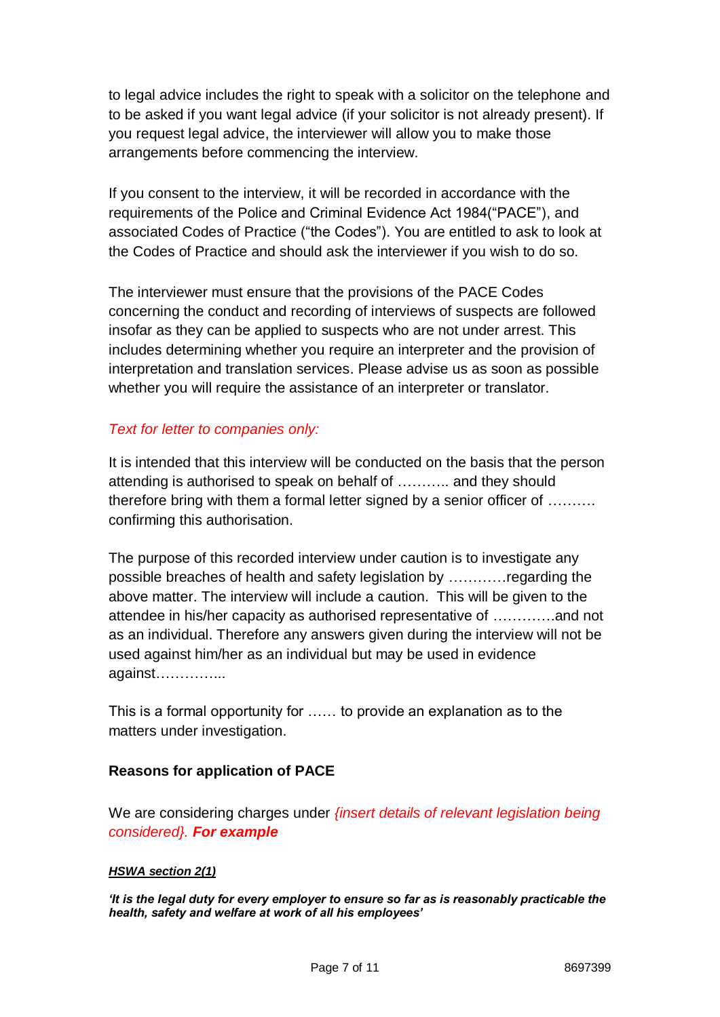to legal advice includes the right to speak with a solicitor on the telephone and to be asked if you want legal advice (if your solicitor is not already present). If you request legal advice, the interviewer will allow you to make those arrangements before commencing the interview.

If you consent to the interview, it will be recorded in accordance with the requirements of the Police and Criminal Evidence Act 1984("PACE"), and associated Codes of Practice ("the Codes"). You are entitled to ask to look at the Codes of Practice and should ask the interviewer if you wish to do so.

The interviewer must ensure that the provisions of the PACE Codes concerning the conduct and recording of interviews of suspects are followed insofar as they can be applied to suspects who are not under arrest. This includes determining whether you require an interpreter and the provision of interpretation and translation services. Please advise us as soon as possible whether you will require the assistance of an interpreter or translator.

# *Text for letter to companies only:*

It is intended that this interview will be conducted on the basis that the person attending is authorised to speak on behalf of ……….. and they should therefore bring with them a formal letter signed by a senior officer of ………. confirming this authorisation.

The purpose of this recorded interview under caution is to investigate any possible breaches of health and safety legislation by …………regarding the above matter. The interview will include a caution. This will be given to the attendee in his/her capacity as authorised representative of ………….and not as an individual. Therefore any answers given during the interview will not be used against him/her as an individual but may be used in evidence against…………...

This is a formal opportunity for …… to provide an explanation as to the matters under investigation.

# **Reasons for application of PACE**

We are considering charges under *{insert details of relevant legislation being considered}. For example*

## *HSWA section 2(1)*

*'It is the legal duty for every employer to ensure so far as is reasonably practicable the health, safety and welfare at work of all his employees'*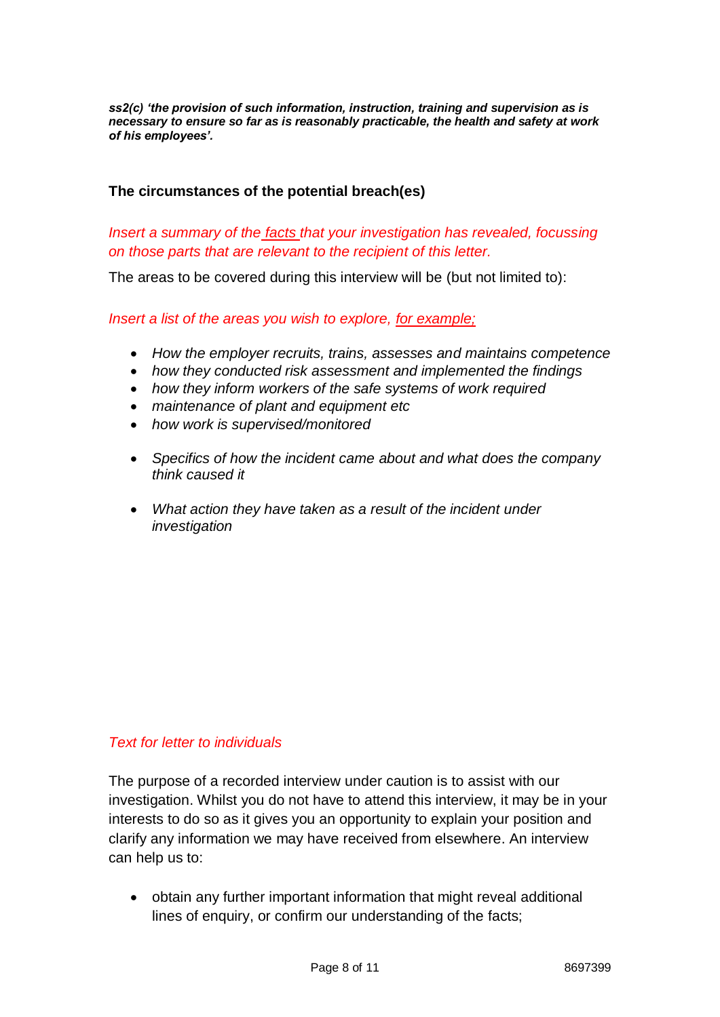*ss2(c) 'the provision of such information, instruction, training and supervision as is necessary to ensure so far as is reasonably practicable, the health and safety at work of his employees'.*

## **The circumstances of the potential breach(es)**

# *Insert a summary of the facts that your investigation has revealed, focussing on those parts that are relevant to the recipient of this letter.*

The areas to be covered during this interview will be (but not limited to):

### *Insert a list of the areas you wish to explore, for example;*

- *How the employer recruits, trains, assesses and maintains competence*
- *how they conducted risk assessment and implemented the findings*
- *how they inform workers of the safe systems of work required*
- *maintenance of plant and equipment etc*
- *how work is supervised/monitored*
- *Specifics of how the incident came about and what does the company think caused it*
- *What action they have taken as a result of the incident under investigation*

## *Text for letter to individuals*

The purpose of a recorded interview under caution is to assist with our investigation. Whilst you do not have to attend this interview, it may be in your interests to do so as it gives you an opportunity to explain your position and clarify any information we may have received from elsewhere. An interview can help us to:

 obtain any further important information that might reveal additional lines of enquiry, or confirm our understanding of the facts;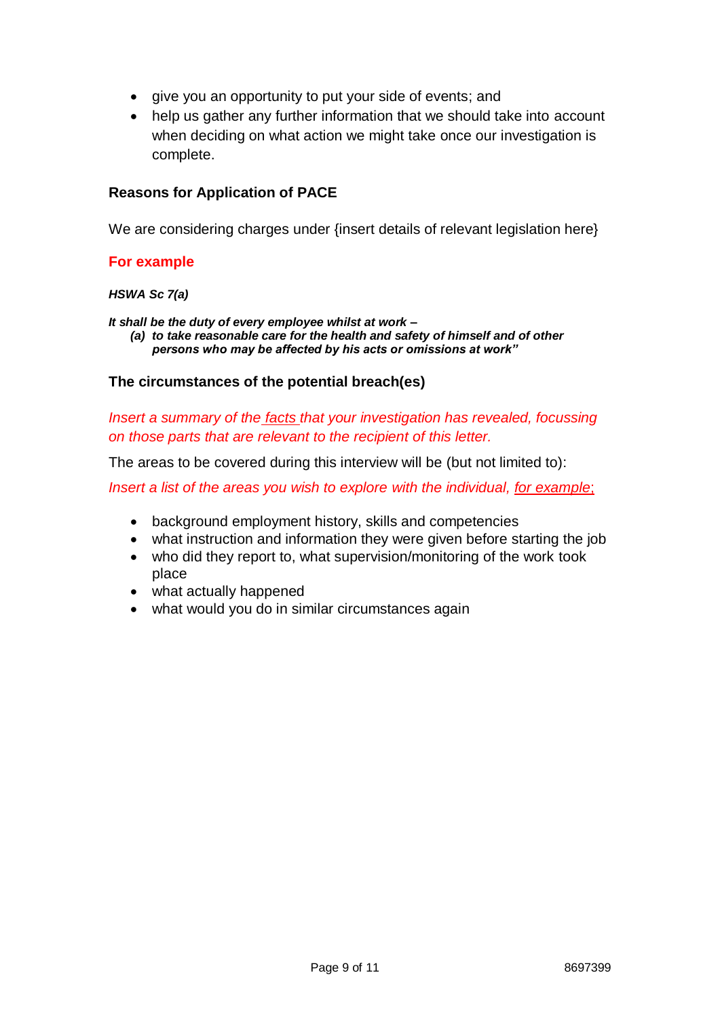- give you an opportunity to put your side of events; and
- help us gather any further information that we should take into account when deciding on what action we might take once our investigation is complete.

## **Reasons for Application of PACE**

We are considering charges under {insert details of relevant legislation here}

### **For example**

#### *HSWA Sc 7(a)*

*It shall be the duty of every employee whilst at work –* 

*(a) to take reasonable care for the health and safety of himself and of other persons who may be affected by his acts or omissions at work"*

### **The circumstances of the potential breach(es)**

*Insert a summary of the facts that your investigation has revealed, focussing on those parts that are relevant to the recipient of this letter.* 

The areas to be covered during this interview will be (but not limited to):

*Insert a list of the areas you wish to explore with the individual, for example*;

- background employment history, skills and competencies
- what instruction and information they were given before starting the job
- who did they report to, what supervision/monitoring of the work took place
- what actually happened
- what would you do in similar circumstances again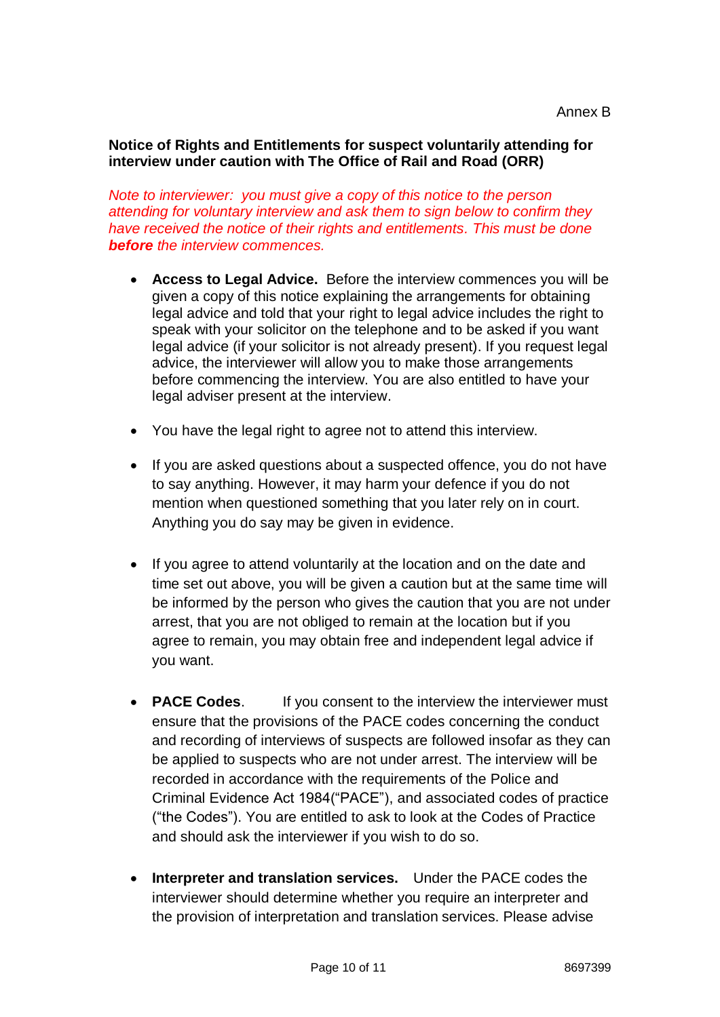## **Notice of Rights and Entitlements for suspect voluntarily attending for interview under caution with The Office of Rail and Road (ORR)**

*Note to interviewer: you must give a copy of this notice to the person attending for voluntary interview and ask them to sign below to confirm they have received the notice of their rights and entitlements. This must be done before the interview commences.*

- **Access to Legal Advice.** Before the interview commences you will be given a copy of this notice explaining the arrangements for obtaining legal advice and told that your right to legal advice includes the right to speak with your solicitor on the telephone and to be asked if you want legal advice (if your solicitor is not already present). If you request legal advice, the interviewer will allow you to make those arrangements before commencing the interview. You are also entitled to have your legal adviser present at the interview.
- You have the legal right to agree not to attend this interview.
- If you are asked questions about a suspected offence, you do not have to say anything. However, it may harm your defence if you do not mention when questioned something that you later rely on in court. Anything you do say may be given in evidence.
- If you agree to attend voluntarily at the location and on the date and time set out above, you will be given a caution but at the same time will be informed by the person who gives the caution that you are not under arrest, that you are not obliged to remain at the location but if you agree to remain, you may obtain free and independent legal advice if you want.
- **PACE Codes.** If you consent to the interview the interviewer must ensure that the provisions of the PACE codes concerning the conduct and recording of interviews of suspects are followed insofar as they can be applied to suspects who are not under arrest. The interview will be recorded in accordance with the requirements of the Police and Criminal Evidence Act 1984("PACE"), and associated codes of practice ("the Codes"). You are entitled to ask to look at the Codes of Practice and should ask the interviewer if you wish to do so.
- **Interpreter and translation services.** Under the PACE codes the interviewer should determine whether you require an interpreter and the provision of interpretation and translation services. Please advise